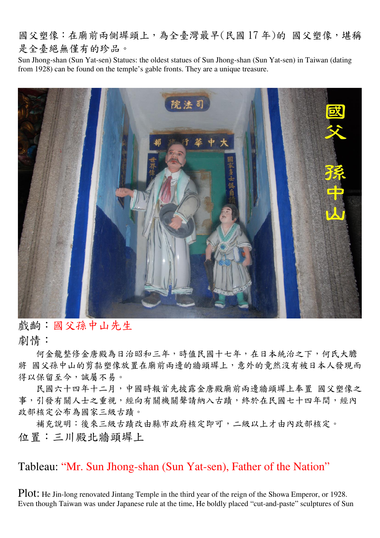國父塑像:在廟前兩側墀頭上,為全臺灣最早(民國17年)的 國父塑像,堪稱 是全臺絕無僅有的珍品。

Sun Jhong-shan (Sun Yat-sen) Statues: the oldest statues of Sun Jhong-shan (Sun Yat-sen) in Taiwan (dating from 1928) can be found on the temple's gable fronts. They are a unique treasure.



戲齣:國父孫中山先生 劇情:

何金龍整修金唐殿為日治昭和三年,時值民國十七年,在日本統治之下,何氏大膽 將 國父孫中山的剪黏塑像放置在廟前兩邊的牆頭墀上,意外的竟然沒有被日本人發現而 得以保留至今,誠屬不易。

民國六十四年十二月,中國時報首先披露金唐殿廟前兩邊牆頭墀上奉置 國父塑像之 事,引發有關人士之重視,經向有關機關聲請納入古蹟,終於在民國七十四年間,經內 政部核定公布為國家三級古蹟。

補充說明:後來三級古蹟改由縣市政府核定即可,二級以上才由內政部核定。 位置:三川殿北牆頭墀上

Tableau: "Mr. Sun Jhong-shan (Sun Yat-sen), Father of the Nation"

Plot: He Jin-long renovated Jintang Temple in the third year of the reign of the Showa Emperor, or 1928. Even though Taiwan was under Japanese rule at the time, He boldly placed "cut-and-paste" sculptures of Sun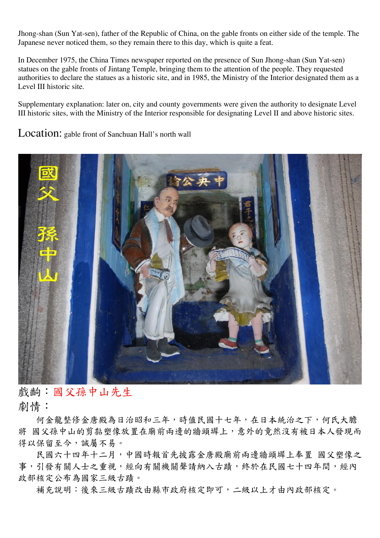Jhong-shan (Sun Yat-sen), father of the Republic of China, on the gable fronts on either side of the temple. The Japanese never noticed them, so they remain there to this day, which is quite a feat.

In December 1975, the China Times newspaper reported on the presence of Sun Jhong-shan (Sun Yat-sen) statues on the gable fronts of Jintang Temple, bringing them to the attention of the people. They requested authorities to declare the statues as a historic site, and in 1985, the Ministry of the Interior designated them as a Level III historic site.

Supplementary explanation: later on, city and county governments were given the authority to designate Level III historic sites, with the Ministry of the Interior responsible for designating Level II and above historic sites.

Location: gable front of Sanchuan Hall's north wall



戲齣:國父孫中山先生 劇情:

何金龍整修金唐殿為日治昭和三年,時值民國十七年,在日本統治之下,何氏大膽 將 國父孫中山的剪黏塑像放置在廟前兩邊的牆頭墀上,意外的竟然沒有被日本人發現而 得以保留至今,誠屬不易。

民國六十四年十二月,中國時報首先披露金唐殿廟前兩邊牆頭墀上奉置 國父塑像之 事,引發有關人士之重視,經向有關機關聲請納入古蹟,終於在民國七十四年間,經內 政部核定公布為國家三級古蹟。

補充說明:後來三級古蹟改由縣市政府核定即可,二級以上才由內政部核定。